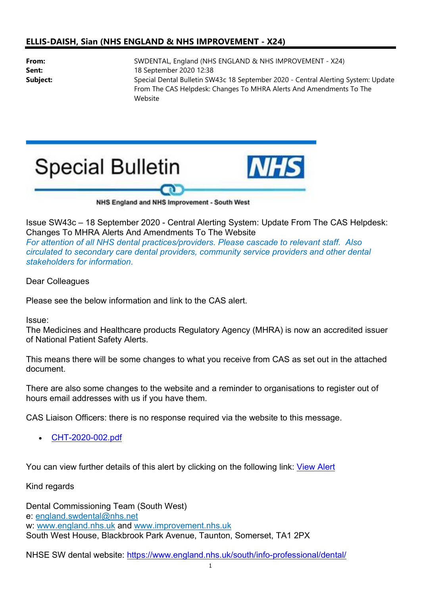## ELLIS-DAISH, Sian (NHS ENGLAND & NHS IMPROVEMENT - X24)

From: SWDENTAL, England (NHS ENGLAND & NHS IMPROVEMENT - X24) **Sent:** 18 September 2020 12:38 Subject: Special Dental Bulletin SW43c 18 September 2020 - Central Alerting System: Update From The CAS Helpdesk: Changes To MHRA Alerts And Amendments To The Website



Issue SW43c – 18 September 2020 - Central Alerting System: Update From The CAS Helpdesk: Changes To MHRA Alerts And Amendments To The Website

For attention of all NHS dental practices/providers. Please cascade to relevant staff. Also circulated to secondary care dental providers, community service providers and other dental stakeholders for information.

Dear Colleagues

Please see the below information and link to the CAS alert.

Issue:

The Medicines and Healthcare products Regulatory Agency (MHRA) is now an accredited issuer of National Patient Safety Alerts.

This means there will be some changes to what you receive from CAS as set out in the attached document.

There are also some changes to the website and a reminder to organisations to register out of hours email addresses with us if you have them.

CAS Liaison Officers: there is no response required via the website to this message.

CHT-2020-002.pdf

You can view further details of this alert by clicking on the following link: View Alert

Kind regards

Dental Commissioning Team (South West) e: england.swdental@nhs.net w: www.england.nhs.uk and www.improvement.nhs.uk South West House, Blackbrook Park Avenue, Taunton, Somerset, TA1 2PX

NHSE SW dental website: https://www.england.nhs.uk/south/info-professional/dental/